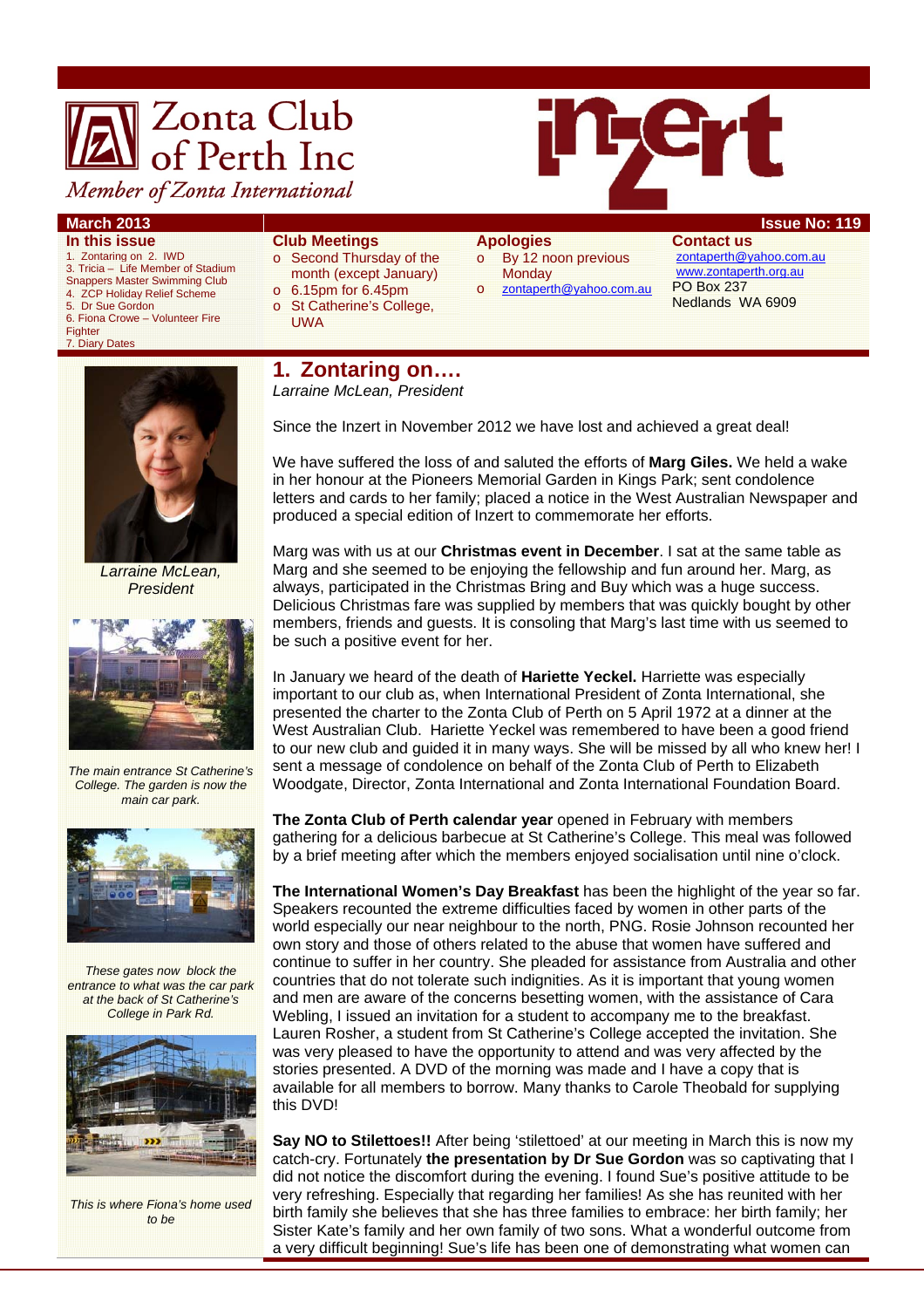# **X** Zonta Club<br>**A** of Perth Inc Member of Zonta International



- **In this issue**
- 1. Zontaring on 2. IWD 3. Tricia – Life Member of Stadium
- Snappers Master Swimming Club
- 4. ZCP Holiday Relief Scheme
- Dr Sue Gordon
- 6. Fiona Crowe Volunteer Fire
- Fighter 7. Diary Dates

# **Club Meetings**

- o Second Thursday of the month (except January)
- o 6.15pm for 6.45pm
- o St Catherine's College,
	- UWA

### **Apologies**

- o By 12 noon previous **Monday**
- o zontaperth@yahoo.com.au
	-

**Contact us**  zontaperth@yahoo.com.au www.zontaperth.org.au PO Box 237 Nedlands WA 6909



*Larraine McLean, President* 



*The main entrance St Catherine's College. The garden is now the main car park.* 



*These gates now block the entrance to what was the car park at the back of St Catherine's College in Park Rd.* 



*This is where Fiona's home used to be* 

# **1. Zontaring on….**

*Larraine McLean, President* 

Since the Inzert in November 2012 we have lost and achieved a great deal!

We have suffered the loss of and saluted the efforts of **Marg Giles.** We held a wake in her honour at the Pioneers Memorial Garden in Kings Park; sent condolence letters and cards to her family; placed a notice in the West Australian Newspaper and produced a special edition of Inzert to commemorate her efforts.

Marg was with us at our **Christmas event in December**. I sat at the same table as Marg and she seemed to be enjoying the fellowship and fun around her. Marg, as always, participated in the Christmas Bring and Buy which was a huge success. Delicious Christmas fare was supplied by members that was quickly bought by other members, friends and guests. It is consoling that Marg's last time with us seemed to be such a positive event for her.

In January we heard of the death of **Hariette Yeckel.** Harriette was especially important to our club as, when International President of Zonta International, she presented the charter to the Zonta Club of Perth on 5 April 1972 at a dinner at the West Australian Club. Hariette Yeckel was remembered to have been a good friend to our new club and guided it in many ways. She will be missed by all who knew her! I sent a message of condolence on behalf of the Zonta Club of Perth to Elizabeth Woodgate, Director, Zonta International and Zonta International Foundation Board.

**The Zonta Club of Perth calendar year** opened in February with members gathering for a delicious barbecue at St Catherine's College. This meal was followed by a brief meeting after which the members enjoyed socialisation until nine o'clock.

**The International Women's Day Breakfast** has been the highlight of the year so far. Speakers recounted the extreme difficulties faced by women in other parts of the world especially our near neighbour to the north, PNG. Rosie Johnson recounted her own story and those of others related to the abuse that women have suffered and continue to suffer in her country. She pleaded for assistance from Australia and other countries that do not tolerate such indignities. As it is important that young women and men are aware of the concerns besetting women, with the assistance of Cara Webling, I issued an invitation for a student to accompany me to the breakfast. Lauren Rosher, a student from St Catherine's College accepted the invitation. She was very pleased to have the opportunity to attend and was very affected by the stories presented. A DVD of the morning was made and I have a copy that is available for all members to borrow. Many thanks to Carole Theobald for supplying this DVD!

**Say NO to Stilettoes!!** After being 'stilettoed' at our meeting in March this is now my catch-cry. Fortunately **the presentation by Dr Sue Gordon** was so captivating that I did not notice the discomfort during the evening. I found Sue's positive attitude to be very refreshing. Especially that regarding her families! As she has reunited with her birth family she believes that she has three families to embrace: her birth family; her Sister Kate's family and her own family of two sons. What a wonderful outcome from a very difficult beginning! Sue's life has been one of demonstrating what women can

# **March 2013 ISSUE NO: 119**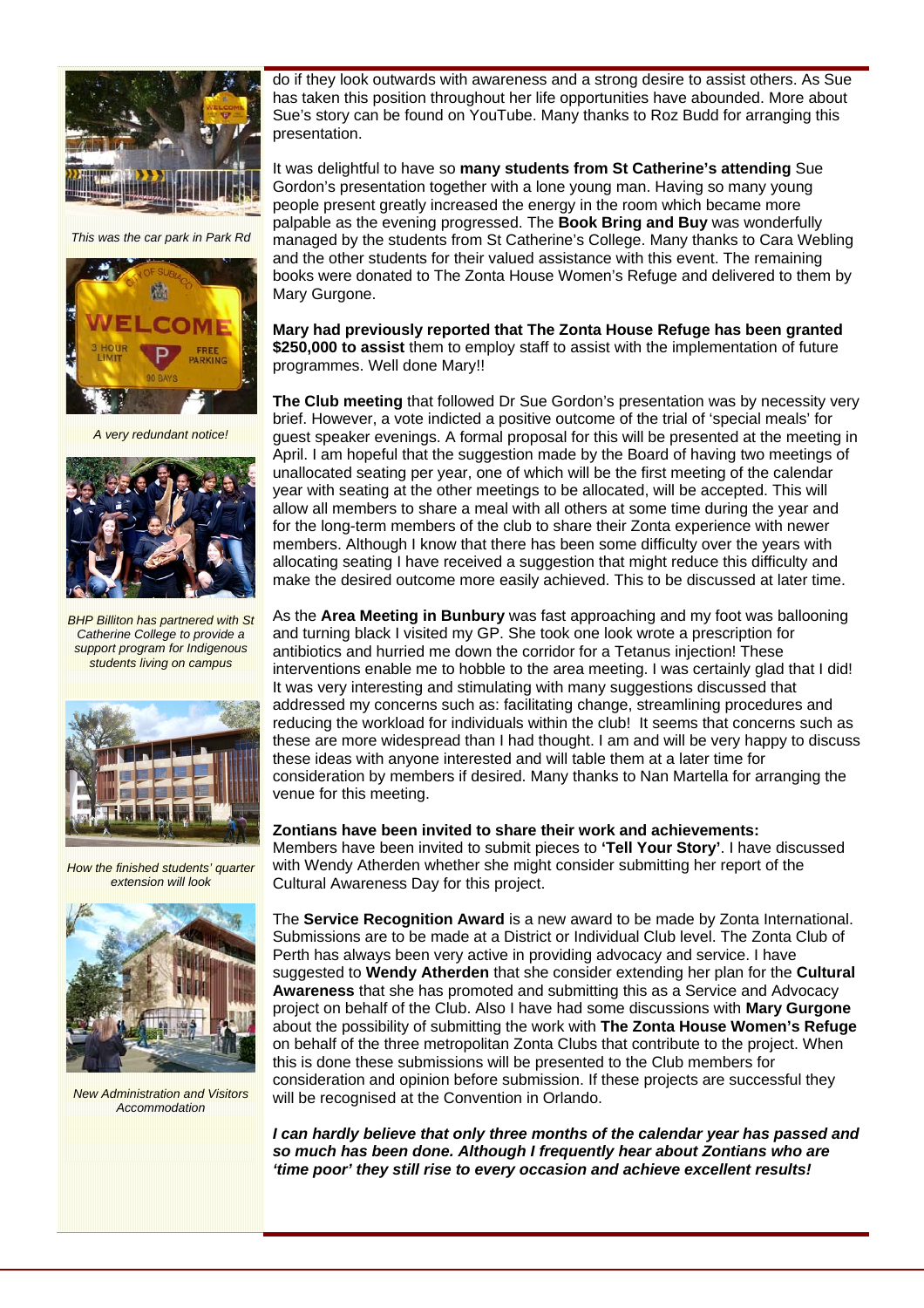

*This was the car park in Park Rd* 



*A very redundant notice!* 



*BHP Billiton has partnered with St Catherine College to provide a support program for Indigenous students living on campus* 



*How the finished students' quarter extension will look* 



*New Administration and Visitors Accommodation* 

do if they look outwards with awareness and a strong desire to assist others. As Sue has taken this position throughout her life opportunities have abounded. More about Sue's story can be found on YouTube. Many thanks to Roz Budd for arranging this presentation.

It was delightful to have so **many students from St Catherine's attending** Sue Gordon's presentation together with a lone young man. Having so many young people present greatly increased the energy in the room which became more palpable as the evening progressed. The **Book Bring and Buy** was wonderfully managed by the students from St Catherine's College. Many thanks to Cara Webling and the other students for their valued assistance with this event. The remaining books were donated to The Zonta House Women's Refuge and delivered to them by Mary Gurgone.

**Mary had previously reported that The Zonta House Refuge has been granted \$250,000 to assist** them to employ staff to assist with the implementation of future programmes. Well done Mary!!

**The Club meeting** that followed Dr Sue Gordon's presentation was by necessity very brief. However, a vote indicted a positive outcome of the trial of 'special meals' for guest speaker evenings. A formal proposal for this will be presented at the meeting in April. I am hopeful that the suggestion made by the Board of having two meetings of unallocated seating per year, one of which will be the first meeting of the calendar year with seating at the other meetings to be allocated, will be accepted. This will allow all members to share a meal with all others at some time during the year and for the long-term members of the club to share their Zonta experience with newer members. Although I know that there has been some difficulty over the years with allocating seating I have received a suggestion that might reduce this difficulty and make the desired outcome more easily achieved. This to be discussed at later time.

As the **Area Meeting in Bunbury** was fast approaching and my foot was ballooning and turning black I visited my GP. She took one look wrote a prescription for antibiotics and hurried me down the corridor for a Tetanus injection! These interventions enable me to hobble to the area meeting. I was certainly glad that I did! It was very interesting and stimulating with many suggestions discussed that addressed my concerns such as: facilitating change, streamlining procedures and reducing the workload for individuals within the club! It seems that concerns such as these are more widespread than I had thought. I am and will be very happy to discuss these ideas with anyone interested and will table them at a later time for consideration by members if desired. Many thanks to Nan Martella for arranging the venue for this meeting.

#### **Zontians have been invited to share their work and achievements:**

Members have been invited to submit pieces to **'Tell Your Story'**. I have discussed with Wendy Atherden whether she might consider submitting her report of the Cultural Awareness Day for this project.

The **Service Recognition Award** is a new award to be made by Zonta International. Submissions are to be made at a District or Individual Club level. The Zonta Club of Perth has always been very active in providing advocacy and service. I have suggested to **Wendy Atherden** that she consider extending her plan for the **Cultural Awareness** that she has promoted and submitting this as a Service and Advocacy project on behalf of the Club. Also I have had some discussions with **Mary Gurgone** about the possibility of submitting the work with **The Zonta House Women's Refuge**  on behalf of the three metropolitan Zonta Clubs that contribute to the project. When this is done these submissions will be presented to the Club members for consideration and opinion before submission. If these projects are successful they will be recognised at the Convention in Orlando.

*I can hardly believe that only three months of the calendar year has passed and so much has been done. Although I frequently hear about Zontians who are 'time poor' they still rise to every occasion and achieve excellent results!*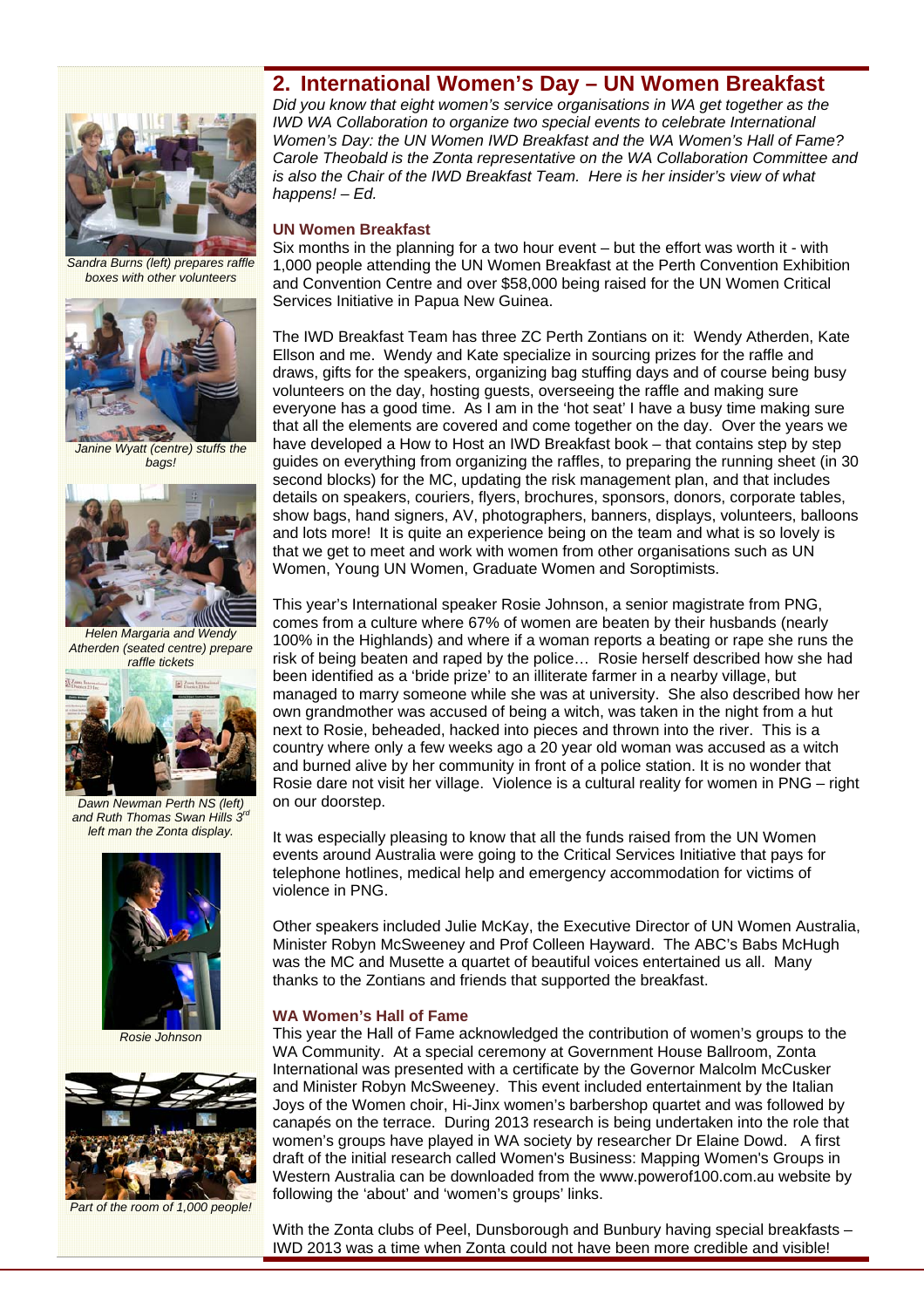# **2. International Women's Day – UN Women Breakfast**



*Sandra Burns (left) prepares raffle boxes with other volunteers* 



*Janine Wyatt (centre) stuffs the bags!* 



*Helen Margaria and Wendy Atherden (seated centre) prepare raffle tickets* 



*Dawn Newman Perth NS (left) and Ruth Thomas Swan Hills 3rd left man the Zonta display.* 



*Rosie Johnson* 



*Part of the room of 1,000 people!* 

*Did you know that eight women's service organisations in WA get together as the IWD WA Collaboration to organize two special events to celebrate International Women's Day: the UN Women IWD Breakfast and the WA Women's Hall of Fame? Carole Theobald is the Zonta representative on the WA Collaboration Committee and*  is also the Chair of the IWD Breakfast Team. Here is her insider's view of what *happens! – Ed.* 

#### **UN Women Breakfast**

Six months in the planning for a two hour event – but the effort was worth it - with 1,000 people attending the UN Women Breakfast at the Perth Convention Exhibition and Convention Centre and over \$58,000 being raised for the UN Women Critical Services Initiative in Papua New Guinea.

The IWD Breakfast Team has three ZC Perth Zontians on it: Wendy Atherden, Kate Ellson and me. Wendy and Kate specialize in sourcing prizes for the raffle and draws, gifts for the speakers, organizing bag stuffing days and of course being busy volunteers on the day, hosting guests, overseeing the raffle and making sure everyone has a good time. As I am in the 'hot seat' I have a busy time making sure that all the elements are covered and come together on the day. Over the years we have developed a How to Host an IWD Breakfast book – that contains step by step guides on everything from organizing the raffles, to preparing the running sheet (in 30 second blocks) for the MC, updating the risk management plan, and that includes details on speakers, couriers, flyers, brochures, sponsors, donors, corporate tables, show bags, hand signers, AV, photographers, banners, displays, volunteers, balloons and lots more! It is quite an experience being on the team and what is so lovely is that we get to meet and work with women from other organisations such as UN Women, Young UN Women, Graduate Women and Soroptimists.

This year's International speaker Rosie Johnson, a senior magistrate from PNG, comes from a culture where 67% of women are beaten by their husbands (nearly 100% in the Highlands) and where if a woman reports a beating or rape she runs the risk of being beaten and raped by the police… Rosie herself described how she had been identified as a 'bride prize' to an illiterate farmer in a nearby village, but managed to marry someone while she was at university. She also described how her own grandmother was accused of being a witch, was taken in the night from a hut next to Rosie, beheaded, hacked into pieces and thrown into the river. This is a country where only a few weeks ago a 20 year old woman was accused as a witch and burned alive by her community in front of a police station. It is no wonder that Rosie dare not visit her village. Violence is a cultural reality for women in PNG – right on our doorstep.

It was especially pleasing to know that all the funds raised from the UN Women events around Australia were going to the Critical Services Initiative that pays for telephone hotlines, medical help and emergency accommodation for victims of violence in PNG.

Other speakers included Julie McKay, the Executive Director of UN Women Australia, Minister Robyn McSweeney and Prof Colleen Hayward. The ABC's Babs McHugh was the MC and Musette a quartet of beautiful voices entertained us all. Many thanks to the Zontians and friends that supported the breakfast.

#### **WA Women's Hall of Fame**

This year the Hall of Fame acknowledged the contribution of women's groups to the WA Community. At a special ceremony at Government House Ballroom, Zonta International was presented with a certificate by the Governor Malcolm McCusker and Minister Robyn McSweeney. This event included entertainment by the Italian Joys of the Women choir, Hi-Jinx women's barbershop quartet and was followed by canapés on the terrace. During 2013 research is being undertaken into the role that women's groups have played in WA society by researcher Dr Elaine Dowd. A first draft of the initial research called Women's Business: Mapping Women's Groups in Western Australia can be downloaded from the www.powerof100.com.au website by following the 'about' and 'women's groups' links.

With the Zonta clubs of Peel, Dunsborough and Bunbury having special breakfasts -IWD 2013 was a time when Zonta could not have been more credible and visible!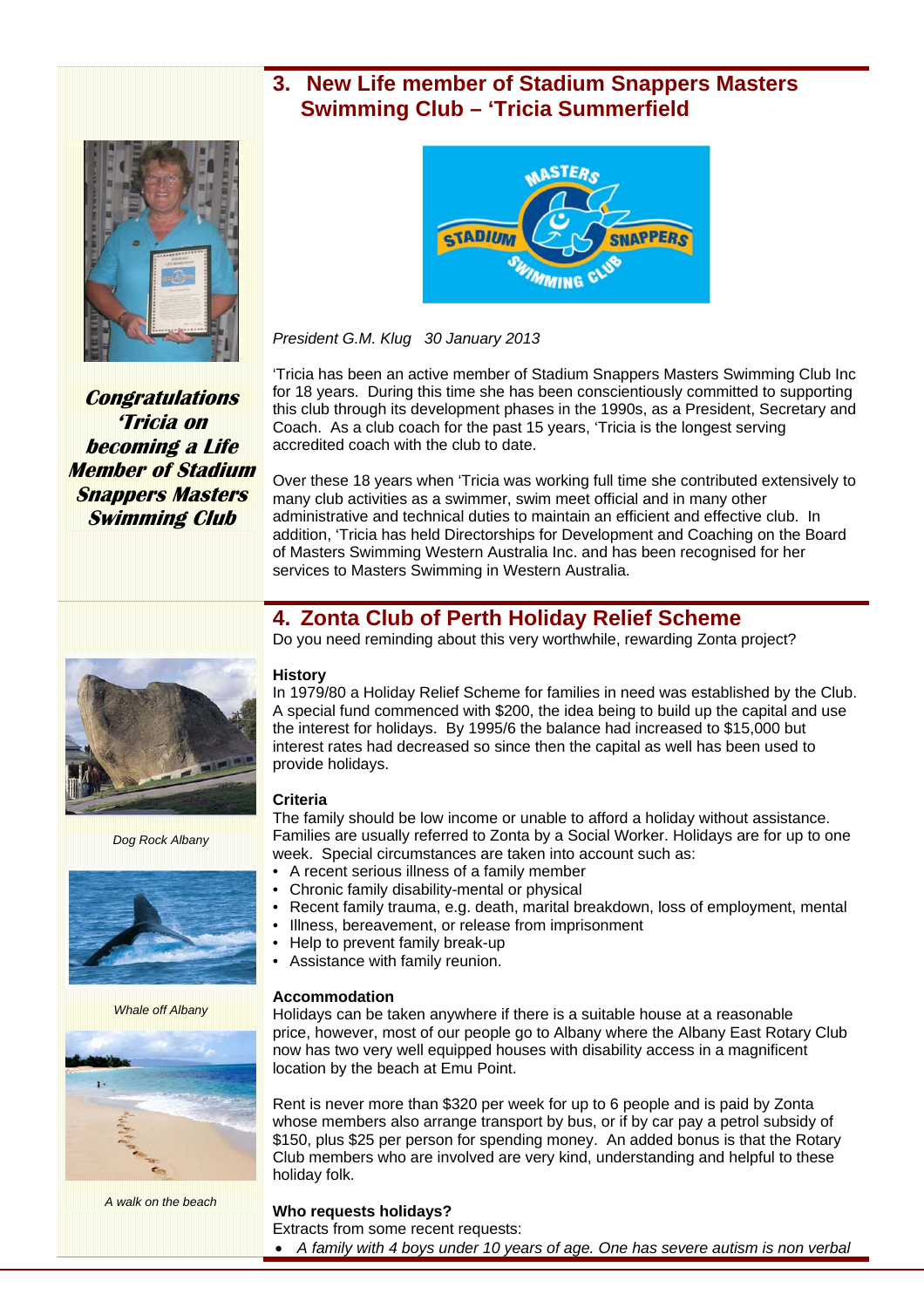# **3. New Life member of Stadium Snappers Masters Swimming Club – 'Tricia Summerfield**



**Congratulations 'Tricia on becoming a Life Member of Stadium Snappers Masters Swimming Club** 



*President G.M. Klug 30 January 2013* 

'Tricia has been an active member of Stadium Snappers Masters Swimming Club Inc for 18 years. During this time she has been conscientiously committed to supporting this club through its development phases in the 1990s, as a President, Secretary and Coach. As a club coach for the past 15 years, 'Tricia is the longest serving accredited coach with the club to date.

Over these 18 years when 'Tricia was working full time she contributed extensively to many club activities as a swimmer, swim meet official and in many other administrative and technical duties to maintain an efficient and effective club. In addition, 'Tricia has held Directorships for Development and Coaching on the Board of Masters Swimming Western Australia Inc. and has been recognised for her services to Masters Swimming in Western Australia.

# **4. Zonta Club of Perth Holiday Relief Scheme**

Do you need reminding about this very worthwhile, rewarding Zonta project?

#### **History**

In 1979/80 a Holiday Relief Scheme for families in need was established by the Club. A special fund commenced with \$200, the idea being to build up the capital and use the interest for holidays. By 1995/6 the balance had increased to \$15,000 but interest rates had decreased so since then the capital as well has been used to provide holidays.

#### **Criteria**

The family should be low income or unable to afford a holiday without assistance. Families are usually referred to Zonta by a Social Worker. Holidays are for up to one week. Special circumstances are taken into account such as:

- A recent serious illness of a family member
- Chronic family disability-mental or physical
- Recent family trauma, e.g. death, marital breakdown, loss of employment, mental
- Illness, bereavement, or release from imprisonment
	- Help to prevent family break-up
	- Assistance with family reunion.

#### **Accommodation**

Holidays can be taken anywhere if there is a suitable house at a reasonable price, however, most of our people go to Albany where the Albany East Rotary Club now has two very well equipped houses with disability access in a magnificent location by the beach at Emu Point.

Rent is never more than \$320 per week for up to 6 people and is paid by Zonta whose members also arrange transport by bus, or if by car pay a petrol subsidy of \$150, plus \$25 per person for spending money. An added bonus is that the Rotary Club members who are involved are very kind, understanding and helpful to these holiday folk.

### **Who requests holidays?**

Extracts from some recent requests:

*A family with 4 boys under 10 years of age. One has severe autism is non verbal* 



*Dog Rock Albany* 



*Whale off Albany* 



*A walk on the beach*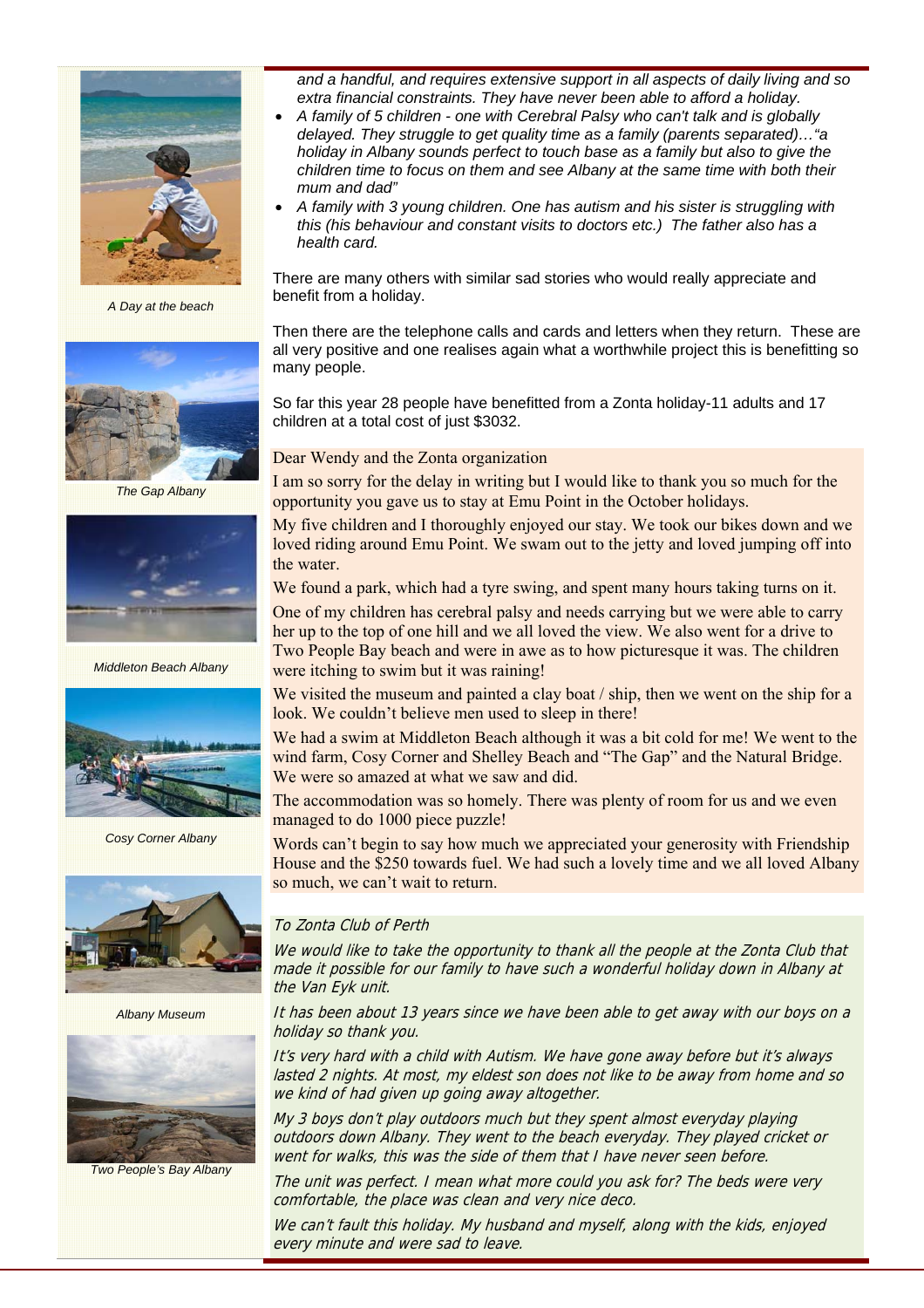

*A Day at the beach* 



*The Gap Albany* 



*Middleton Beach Albany* 



*Cosy Corner Albany* 



*Albany Museum* 



*Two People's Bay Albany* 

*and a handful, and requires extensive support in all aspects of daily living and so extra financial constraints. They have never been able to afford a holiday.* 

- *A family of 5 children one with Cerebral Palsy who can't talk and is globally delayed. They struggle to get quality time as a family (parents separated)…"a holiday in Albany sounds perfect to touch base as a family but also to give the children time to focus on them and see Albany at the same time with both their mum and dad"*
- *A family with 3 young children. One has autism and his sister is struggling with this (his behaviour and constant visits to doctors etc.) The father also has a health card.*

There are many others with similar sad stories who would really appreciate and benefit from a holiday.

Then there are the telephone calls and cards and letters when they return. These are all very positive and one realises again what a worthwhile project this is benefitting so many people.

So far this year 28 people have benefitted from a Zonta holiday-11 adults and 17 children at a total cost of just \$3032.

#### Dear Wendy and the Zonta organization

I am so sorry for the delay in writing but I would like to thank you so much for the opportunity you gave us to stay at Emu Point in the October holidays.

My five children and I thoroughly enjoyed our stay. We took our bikes down and we loved riding around Emu Point. We swam out to the jetty and loved jumping off into the water.

We found a park, which had a tyre swing, and spent many hours taking turns on it.

One of my children has cerebral palsy and needs carrying but we were able to carry her up to the top of one hill and we all loved the view. We also went for a drive to Two People Bay beach and were in awe as to how picturesque it was. The children were itching to swim but it was raining!

We visited the museum and painted a clay boat / ship, then we went on the ship for a look. We couldn't believe men used to sleep in there!

We had a swim at Middleton Beach although it was a bit cold for me! We went to the wind farm, Cosy Corner and Shelley Beach and "The Gap" and the Natural Bridge. We were so amazed at what we saw and did.

The accommodation was so homely. There was plenty of room for us and we even managed to do 1000 piece puzzle!

Words can't begin to say how much we appreciated your generosity with Friendship House and the \$250 towards fuel. We had such a lovely time and we all loved Albany so much, we can't wait to return.

#### To Zonta Club of Perth

We would like to take the opportunity to thank all the people at the Zonta Club that made it possible for our family to have such a wonderful holiday down in Albany at the Van Eyk unit.

It has been about 13 years since we have been able to get away with our boys on a holiday so thank you.

It's very hard with a child with Autism. We have gone away before but it's always lasted 2 nights. At most, my eldest son does not like to be away from home and so we kind of had given up going away altogether.

My 3 boys don't play outdoors much but they spent almost everyday playing outdoors down Albany. They went to the beach everyday. They played cricket or went for walks, this was the side of them that I have never seen before.

The unit was perfect. I mean what more could you ask for? The beds were very comfortable, the place was clean and very nice deco.

We can't fault this holiday. My husband and myself, along with the kids, enjoyed every minute and were sad to leave.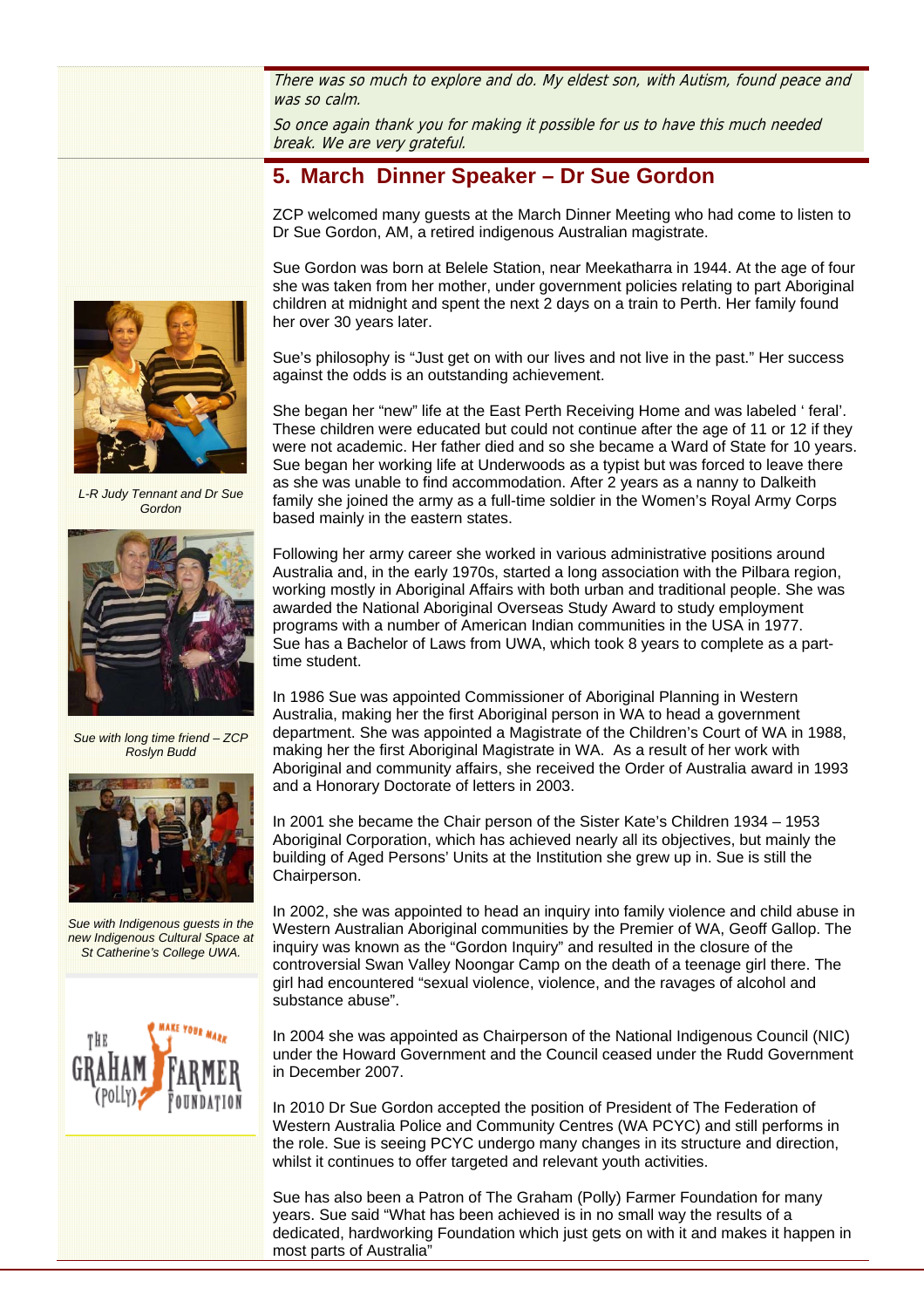There was so much to explore and do. My eldest son, with Autism, found peace and was so calm.

So once again thank you for making it possible for us to have this much needed break. We are very grateful.

# **5. March Dinner Speaker – Dr Sue Gordon**

ZCP welcomed many guests at the March Dinner Meeting who had come to listen to Dr Sue Gordon, AM, a retired indigenous Australian magistrate.

Sue Gordon was born at Belele Station, near Meekatharra in 1944. At the age of four she was taken from her mother, under government policies relating to part Aboriginal children at midnight and spent the next 2 days on a train to Perth. Her family found her over 30 years later.

Sue's philosophy is "Just get on with our lives and not live in the past." Her success against the odds is an outstanding achievement.

She began her "new" life at the East Perth Receiving Home and was labeled ' feral'. These children were educated but could not continue after the age of 11 or 12 if they were not academic. Her father died and so she became a Ward of State for 10 years. Sue began her working life at Underwoods as a typist but was forced to leave there as she was unable to find accommodation. After 2 years as a nanny to Dalkeith family she joined the army as a full-time soldier in the Women's Royal Army Corps based mainly in the eastern states.

Following her army career she worked in various administrative positions around Australia and, in the early 1970s, started a long association with the Pilbara region, working mostly in Aboriginal Affairs with both urban and traditional people. She was awarded the National Aboriginal Overseas Study Award to study employment programs with a number of American Indian communities in the USA in 1977. Sue has a Bachelor of Laws from UWA, which took 8 years to complete as a parttime student.

In 1986 Sue was appointed Commissioner of Aboriginal Planning in Western Australia, making her the first Aboriginal person in WA to head a government department. She was appointed a Magistrate of the Children's Court of WA in 1988, making her the first Aboriginal Magistrate in WA. As a result of her work with Aboriginal and community affairs, she received the Order of Australia award in 1993 and a Honorary Doctorate of letters in 2003.

In 2001 she became the Chair person of the Sister Kate's Children 1934 – 1953 Aboriginal Corporation, which has achieved nearly all its objectives, but mainly the building of Aged Persons' Units at the Institution she grew up in. Sue is still the Chairperson.

In 2002, she was appointed to head an inquiry into family violence and child abuse in Western Australian Aboriginal communities by the Premier of WA, Geoff Gallop. The inquiry was known as the "Gordon Inquiry" and resulted in the closure of the controversial Swan Valley Noongar Camp on the death of a teenage girl there. The girl had encountered "sexual violence, violence, and the ravages of alcohol and substance abuse".

In 2004 she was appointed as Chairperson of the National Indigenous Council (NIC) under the Howard Government and the Council ceased under the Rudd Government in December 2007.

In 2010 Dr Sue Gordon accepted the position of President of The Federation of Western Australia Police and Community Centres (WA PCYC) and still performs in the role. Sue is seeing PCYC undergo many changes in its structure and direction, whilst it continues to offer targeted and relevant youth activities.

Sue has also been a Patron of The Graham (Polly) Farmer Foundation for many years. Sue said "What has been achieved is in no small way the results of a dedicated, hardworking Foundation which just gets on with it and makes it happen in most parts of Australia"



*L-R Judy Tennant and Dr Sue Gordon* 



*Sue with long time friend – ZCP Roslyn Budd* 



*Sue with Indigenous guests in the new Indigenous Cultural Space at St Catherine's College UWA.*